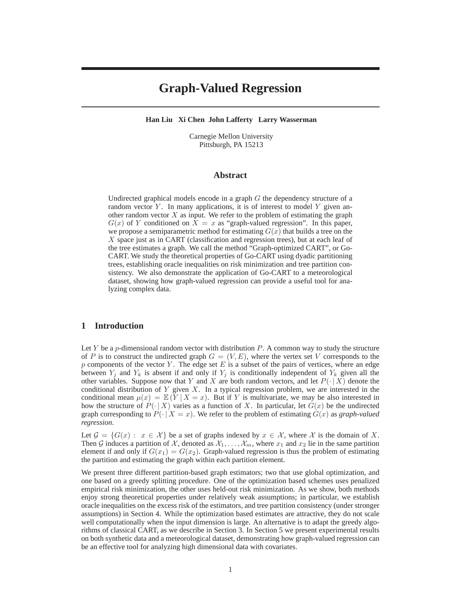# **Graph-Valued Regression**

**Han Liu Xi Chen John Lafferty Larry Wasserman**

Carnegie Mellon University Pittsburgh, PA 15213

### **Abstract**

Undirected graphical models encode in a graph  $G$  the dependency structure of a random vector  $Y$ . In many applications, it is of interest to model  $Y$  given another random vector  $X$  as input. We refer to the problem of estimating the graph  $G(x)$  of Y conditioned on  $X = x$  as "graph-valued regression". In this paper, we propose a semiparametric method for estimating  $G(x)$  that builds a tree on the X space just as in CART (classification and regression trees), but at each leaf of the tree estimates a graph. We call the method "Graph-optimized CART", or Go-CART. We study the theoretical properties of Go-CART using dyadic partitioning trees, establishing oracle inequalities on risk minimization and tree partition consistency. We also demonstrate the application of Go-CART to a meteorological dataset, showing how graph-valued regression can provide a useful tool for analyzing complex data.

## **1 Introduction**

Let  $Y$  be a  $p$ -dimensional random vector with distribution  $P$ . A common way to study the structure of P is to construct the undirected graph  $G = (V, E)$ , where the vertex set V corresponds to the p components of the vector Y. The edge set E is a subset of the pairs of vertices, where an edge between  $Y_i$  and  $Y_k$  is absent if and only if  $Y_i$  is conditionally independent of  $Y_k$  given all the other variables. Suppose now that Y and X are both random vectors, and let  $P(\cdot | X)$  denote the conditional distribution of  $Y$  given  $X$ . In a typical regression problem, we are interested in the conditional mean  $\mu(x) = \mathbb{E}(Y | X = x)$ . But if Y is multivariate, we may be also interested in how the structure of  $P(\cdot | X)$  varies as a function of X. In particular, let  $G(x)$  be the undirected graph corresponding to  $P(\cdot | X = x)$ . We refer to the problem of estimating  $G(x)$  as *graph-valued regression*.

Let  $\mathcal{G} = \{G(x) : x \in \mathcal{X}\}\$ be a set of graphs indexed by  $x \in \mathcal{X}$ , where X is the domain of X. Then G induces a partition of X, denoted as  $X_1, \ldots, X_m$ , where  $x_1$  and  $x_2$  lie in the same partition element if and only if  $G(x_1) = G(x_2)$ . Graph-valued regression is thus the problem of estimating the partition and estimating the graph within each partition element.

We present three different partition-based graph estimators; two that use global optimization, and one based on a greedy splitting procedure. One of the optimization based schemes uses penalized empirical risk minimization, the other uses held-out risk minimization. As we show, both methods enjoy strong theoretical properties under relatively weak assumptions; in particular, we establish oracle inequalities on the excess risk of the estimators, and tree partition consistency (under stronger assumptions) in Section 4. While the optimization based estimates are attractive, they do not scale well computationally when the input dimension is large. An alternative is to adapt the greedy algorithms of classical CART, as we describe in Section 3. In Section 5 we present experimental results on both synthetic data and a meteorological dataset, demonstrating how graph-valued regression can be an effective tool for analyzing high dimensional data with covariates.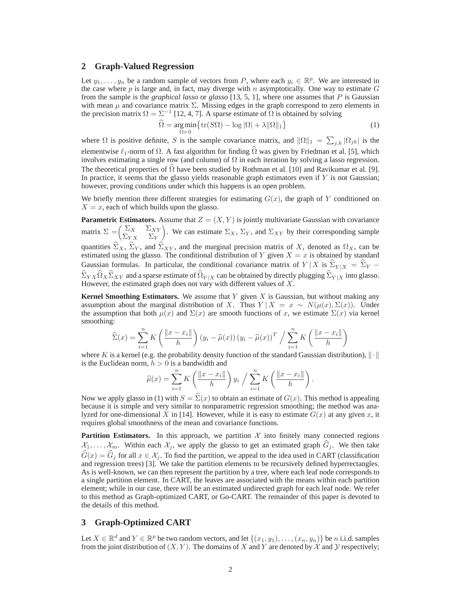#### **2 Graph-Valued Regression**

Let  $y_1, \ldots, y_n$  be a random sample of vectors from P, where each  $y_i \in \mathbb{R}^p$ . We are interested in the case where p is large and, in fact, may diverge with n asymptotically. One way to estimate  $G$ from the sample is the *graphical lasso* or *glasso* [13, 5, 1], where one assumes that P is Gaussian with mean  $\mu$  and covariance matrix  $\Sigma$ . Missing edges in the graph correspond to zero elements in the precision matrix  $\Omega = \Sigma^{-1}$  [12, 4, 7]. A sparse estimate of  $\Omega$  is obtained by solving

$$
\widehat{\Omega} = \underset{\Omega \succ 0}{\arg \min} \{ \text{tr}(S\Omega) - \log |\Omega| + \lambda ||\Omega||_1 \}
$$
\n(1)

where  $\Omega$  is positive definite, S is the sample covariance matrix, and  $\|\Omega\|_1 = \sum_{j,k} |\Omega_{jk}|$  is the elementwise  $\ell_1$ -norm of  $\Omega$ . A fast algorithm for finding  $\hat{\Omega}$  was given by Friedman et al. [5], which involves estimating a single row (and column) of  $\Omega$  in each iteration by solving a lasso regression. The theoretical properties of  $\Omega$  have been studied by Rothman et al. [10] and Ravikumar et al. [9]. In practice, it seems that the glasso yields reasonable graph estimators even if  $Y$  is not Gaussian; however, proving conditions under which this happens is an open problem.

We briefly mention three different strategies for estimating  $G(x)$ , the graph of Y conditioned on  $X = x$ , each of which builds upon the glasso.

**Parametric Estimators.** Assume that  $Z = (X, Y)$  is jointly multivariate Gaussian with covariance matrix  $\Sigma = \begin{pmatrix} \Sigma_X & \Sigma_{XY} \\ \Sigma_{YX} & \Sigma_Y \end{pmatrix}$ ). We can estimate  $\Sigma_X$ ,  $\Sigma_Y$ , and  $\Sigma_{XY}$  by their corresponding sample quantities  $\widehat{\Sigma}_X$ ,  $\widehat{\Sigma}_Y$ , and  $\widehat{\Sigma}_{XY}$ , and the marginal precision matrix of X, denoted as  $\Omega_X$ , can be estimated using the glasso. The conditional distribution of Y given  $X = x$  is obtained by standard Gaussian formulas. In particular, the conditional covariance matrix of  $Y/X$  is  $\Sigma_{Y|X} = \Sigma_Y \widehat{\Sigma}_{YX} \widehat{\Omega}_X \widehat{\Sigma}_{XY}$  and a sparse estimate of  $\widehat{\Omega}_{Y|X}$  can be obtained by directly plugging  $\widehat{\Sigma}_{Y|X}$  into glasso. However, the estimated graph does not vary with different values of  $X$ .

**Kernel Smoothing Estimators.** We assume that Y given X is Gaussian, but without making any assumption about the marginal distribution of X. Thus  $Y | X = x \sim N(\mu(x), \Sigma(x))$ . Under the assumption that both  $\mu(x)$  and  $\Sigma(x)$  are smooth functions of x, we estimate  $\Sigma(x)$  via kernel smoothing:

$$
\widehat{\Sigma}(x) = \sum_{i=1}^{n} K\left(\frac{\|x - x_i\|}{h}\right) (y_i - \widehat{\mu}(x)) (y_i - \widehat{\mu}(x))^T / \sum_{i=1}^{n} K\left(\frac{\|x - x_i\|}{h}\right)
$$

where K is a kernel (e.g. the probability density function of the standard Gaussian distribution),  $\|\cdot\|$ is the Euclidean norm,  $h > 0$  is a bandwidth and

$$
\widehat{\mu}(x) = \sum_{i=1}^{n} K\left(\frac{\|x - x_i\|}{h}\right) y_i / \sum_{i=1}^{n} K\left(\frac{\|x - x_i\|}{h}\right).
$$

Now we apply glasso in (1) with  $S = \Sigma(x)$  to obtain an estimate of  $G(x)$ . This method is appealing because it is simple and very similar to nonparametric regression smoothing; the method was analyzed for one-dimensional X in [14]. However, while it is easy to estimate  $G(x)$  at any given x, it requires global smoothness of the mean and covariance functions.

**Partition Estimators.** In this approach, we partition  $X$  into finitely many connected regions  $X_1,\ldots,X_m$ . Within each  $X_j$ , we apply the glasso to get an estimated graph  $G_j$ . We then take  $\widehat{G}(x) = \widehat{G}_j$  for all  $x \in \mathcal{X}_j$ . To find the partition, we appeal to the idea used in CART (classification and regression trees) [3]. We take the partition elements to be recursively defined hyperrectangles. As is well-known, we can then represent the partition by a tree, where each leaf node corresponds to a single partition element. In CART, the leaves are associated with the means within each partition element; while in our case, there will be an estimated undirected graph for each leaf node. We refer to this method as Graph-optimized CART, or Go-CART. The remainder of this paper is devoted to the details of this method.

## **3 Graph-Optimized CART**

Let  $X \in \mathbb{R}^d$  and  $Y \in \mathbb{R}^p$  be two random vectors, and let  $\{(x_1, y_1), \ldots, (x_n, y_n)\}\$  be n i.i.d. samples from the joint distribution of  $(X, Y)$ . The domains of X and Y are denoted by X and Y respectively;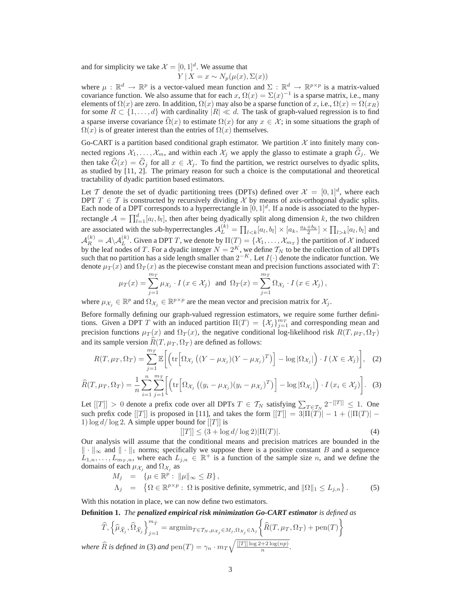and for simplicity we take  $\mathcal{X} = [0, 1]^d$ . We assume that  $Y | X = x \sim N_p(\mu(x), \Sigma(x))$ 

where  $\mu : \mathbb{R}^d \to \mathbb{R}^p$  is a vector-valued mean function and  $\Sigma : \mathbb{R}^d \to \mathbb{R}^{p \times p}$  is a matrix-valued covariance function. We also assume that for each  $x, \Omega(x) = \Sigma(x)^{-1}$  is a sparse matrix, i.e., many elements of  $\Omega(x)$  are zero. In addition,  $\Omega(x)$  may also be a sparse function of x, i.e.,  $\Omega(x) = \Omega(x_R)$ for some  $R \subset \{1,\ldots,d\}$  with cardinality  $|R| \ll d$ . The task of graph-valued regression is to find a sparse inverse covariance  $\Omega(x)$  to estimate  $\Omega(x)$  for any  $x \in \mathcal{X}$ ; in some situations the graph of  $\Omega(x)$  is of greater interest than the entries of  $\Omega(x)$  themselves.

Go-CART is a partition based conditional graph estimator. We partition  $\mathcal X$  into finitely many connected regions  $\mathcal{X}_1,\ldots,\mathcal{X}_m$ , and within each  $\mathcal{X}_j$  we apply the glasso to estimate a graph  $\hat{G}_j$ . We then take  $\widehat{G}(x) = \widehat{G}_j$  for all  $x \in \mathcal{X}_j$ . To find the partition, we restrict ourselves to dyadic splits, as studied by [11, 2]. The primary reason for such a choice is the computational and theoretical tractability of dyadic partition based estimators.

Let T denote the set of dyadic partitioning trees (DPTs) defined over  $\mathcal{X} = [0, 1]^d$ , where each DPT  $T \in \mathcal{T}$  is constructed by recursively dividing  $\mathcal{X}$  by means of axis-orthogonal dyadic splits. Each node of a DPT corresponds to a hyperrectangle in  $[0, 1]^d$ . If a node is associated to the hyperrectangle  $\mathcal{A} = \prod_{l=1}^{d} [a_l, b_l]$ , then after being dyadically split along dimension k, the two children are associated with the sub-hyperrectangles  $\mathcal{A}_L^{(k)} = \prod_{l < k} [a_l, b_l] \times [a_k, \frac{a_k + b_k}{2}] \times \prod_{l > k} [a_l, b_l]$  and  $\mathcal{A}_R^{(k)} = \mathcal{A} \setminus \mathcal{A}_L^{(k)}$ . Given a DPT T, we denote by  $\Pi(T) = \{X_1, \ldots, X_{m_T}\}$  the partition of X induced by the leaf nodes of T. For a dyadic integer  $N = 2^K$ , we define  $T_N$  to be the collection of all DPTs such that no partition has a side length smaller than  $2^{-K}$ . Let  $I(\cdot)$  denote the indicator function. We denote  $\mu_T(x)$  and  $\Omega_T(x)$  as the piecewise constant mean and precision functions associated with T:

$$
\mu_T(x) = \sum_{j=1}^{m_T} \mu_{\mathcal{X}_j} \cdot I(x \in \mathcal{X}_j) \text{ and } \Omega_T(x) = \sum_{j=1}^{m_T} \Omega_{\mathcal{X}_j} \cdot I(x \in \mathcal{X}_j),
$$

where  $\mu_{\mathcal{X}_j} \in \mathbb{R}^p$  and  $\Omega_{\mathcal{X}_j} \in \mathbb{R}^{p \times p}$  are the mean vector and precision matrix for  $\mathcal{X}_j$ .

Before formally defining our graph-valued regression estimators, we require some further definitions. Given a DPT T with an induced partition  $\Pi(T) = \{X_j\}_{j=1}^{m_T}$  and corresponding mean and procision functions  $\mu_{\tau}(x)$  and  $\Omega_{\tau}(x)$  the positive conditional log likelihood risk  $P(T, \mu_{\tau}, \Omega_{\tau})$ precision functions  $\mu_T(x)$  and  $\Omega_T(x)$ , the negative conditional log-likelihood risk  $R(T, \mu_T, \Omega_T)$ and its sample version  $R(T, \mu_T, \Omega_T)$  are defined as follows:

$$
R(T, \mu_T, \Omega_T) = \sum_{j=1}^{m_T} \mathbb{E}\bigg[\bigg(\text{tr}\Big[\Omega_{\mathcal{X}_j}\left((Y - \mu_{\mathcal{X}_j})(Y - \mu_{\mathcal{X}_j})^T\right)\Big] - \log|\Omega_{\mathcal{X}_j}|\bigg) \cdot I\left(X \in \mathcal{X}_j\right)\bigg], \quad (2)
$$

$$
\widehat{R}(T,\mu_T,\Omega_T) = \frac{1}{n} \sum_{i=1}^n \sum_{j=1}^{m_T} \left[ \left( \text{tr} \left[ \Omega_{\mathcal{X}_j} \left( (y_i - \mu_{\mathcal{X}_j}) (y_i - \mu_{\mathcal{X}_j})^T \right) \right] - \log |\Omega_{\mathcal{X}_j}| \right) \cdot I \left( x_i \in \mathcal{X}_j \right) \right]. \tag{3}
$$

Let  $[[T]] > 0$  denote a prefix code over all DPTs  $T \in \mathcal{T}_N$  satisfying  $\sum_{T \in \mathcal{T}_N} 2^{-[[T]]} \leq 1$ . One such prefix code  $[[T]]$  is proposed in [11], and takes the form  $[[T]] = 3\overline{||\Pi(T)||} - 1 + (||\Pi(T)|| -$ 1)  $\log d / \log 2$ . A simple upper bound for [[T]] is

$$
[[T]] \le (3 + \log d / \log 2) |\Pi(T)|. \tag{4}
$$

Our analysis will assume that the conditional means and precision matrices are bounded in the  $\|\cdot\|_{\infty}$  and  $\|\cdot\|_{1}$  norms; specifically we suppose there is a positive constant B and a sequence  $L_{1,n},\ldots,L_{m_T,n}^{(n)},$  where each  $L_{j,n} \in \mathbb{R}^+$  is a function of the sample size *n*, and we define the domains of each  $\mu_{\mathcal{X}_i}$  and  $\Omega_{\mathcal{X}_i}$  as

$$
M_j = \{\mu \in \mathbb{R}^p : \|\mu\|_{\infty} \le B\},
$$
  
\n
$$
\Lambda_j = \{\Omega \in \mathbb{R}^{p \times p} : \Omega \text{ is positive definite, symmetric, and } \|\Omega\|_1 \le L_{j,n}\}.
$$
\n(5)

With this notation in place, we can now define two estimators.

**Definition 1.** *The penalized empirical risk minimization Go-CART estimator is defined as*

$$
\widehat{T}, \left\{\widehat{\mu}_{\widehat{\mathcal{X}}_j}, \widehat{\Omega}_{\widehat{\mathcal{X}}_j}\right\}_{j=1}^{m_{\widehat{T}}} = \operatorname{argmin}_{T \in \mathcal{T}_N, \mu_{\mathcal{X}_j} \in M_j, \Omega_{\mathcal{X}_j} \in \Lambda_j} \left\{\widehat{R}(T, \mu_T, \Omega_T) + \text{pen}(T)\right\}
$$
  
where  $\widehat{R}$  is defined in (3) and  $\text{pen}(T) = \gamma_n \cdot m_T \sqrt{\frac{[[T]] \log 2 + 2 \log(np)}{n}}$ .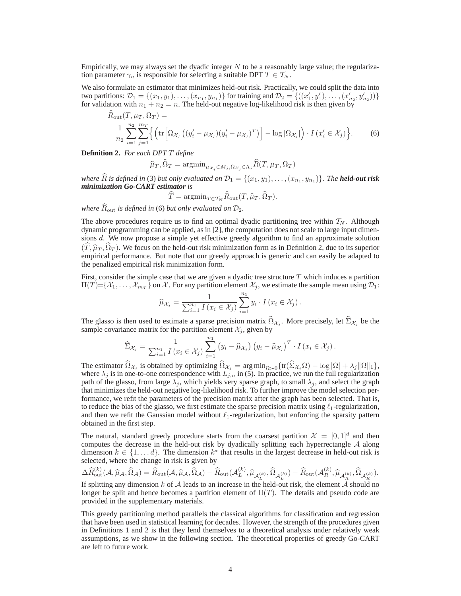Empirically, we may always set the dyadic integer  $N$  to be a reasonably large value; the regularization parameter  $\gamma_n$  is responsible for selecting a suitable DPT  $T \in \mathcal{T}_N$ .

We also formulate an estimator that minimizes held-out risk. Practically, we could split the data into two partitions:  $\mathcal{D}_1 = \{(x_1, y_1), \ldots, (x_{n_1}, y_{n_1})\}$  for training and  $\mathcal{D}_2 = \{((x'_1, y'_1), \ldots, (x'_{n_2}, y'_{n_2}))\}$  for validation with  $n_1 + n_2 = n$ . The held-out negative log-likelihood risk is then given by for validation with  $n_1 + n_2 = n$ . The held-out negative log-likelihood risk is then given by  $\hat{D}$  (T,  $\hat{D}$ )

$$
K_{\text{out}}(I, \mu_T, \Omega_T) =
$$
  

$$
\frac{1}{n_2} \sum_{i=1}^{n_2} \sum_{j=1}^{m_T} \left\{ \left( \text{tr} \left[ \Omega_{\mathcal{X}_j} \left( (y_i' - \mu_{\mathcal{X}_j}) (y_i' - \mu_{\mathcal{X}_j})^T \right) \right] - \log |\Omega_{\mathcal{X}_j}| \right) \cdot I \left( x_i' \in \mathcal{X}_j \right) \right\}.
$$
 (6)

**Definition 2.** *For each DPT* T *define*

$$
\widehat{\mu}_T, \widehat{\Omega}_T = \mathrm{argmin}_{\mu_{\mathcal{X}_j} \in M_j, \Omega_{\mathcal{X}_j} \in \Lambda_j} \widehat{R}(T, \mu_T, \Omega_T)
$$

*where*  $\widehat{R}$  *is defined in* (3) *but only evaluated on*  $\mathcal{D}_1 = \{(x_1, y_1), \ldots, (x_{n_1}, y_{n_1})\}$ *. The held-out risk minimization Go-CART estimator is*

$$
\widehat{T} = \operatorname{argmin}_{T \in \mathcal{T}_N} \widehat{R}_{\text{out}}(T, \widehat{\mu}_T, \widehat{\Omega}_T).
$$

*where*  $\widehat{R}_{\text{out}}$  *is defined in* (6) *but only evaluated on*  $\mathcal{D}_2$ *.* 

The above procedures require us to find an optimal dyadic partitioning tree within  $T_N$ . Although dynamic programming can be applied, as in [2], the computation does not scale to large input dimensions  $d$ . We now propose a simple yet effective greedy algorithm to find an approximate solution  $(\widehat{T}, \widehat{\mu}_T, \widehat{\Omega}_T)$ . We focus on the held-out risk minimization form as in Definition 2, due to its superior empirical performance. But note that our greedy approach is generic and can easily be adapted to the penalized empirical risk minimization form.

First, consider the simple case that we are given a dyadic tree structure  $T$  which induces a partition  $\Pi(T) = \{X_1, \ldots, X_{m_T}\}$  on X. For any partition element  $X_j$ , we estimate the sample mean using  $\mathcal{D}_1$ :

$$
\widehat{\mu}_{\mathcal{X}_j} = \frac{1}{\sum_{i=1}^{n_1} I(x_i \in \mathcal{X}_j)} \sum_{i=1}^{n_1} y_i \cdot I(x_i \in \mathcal{X}_j).
$$

The glasso is then used to estimate a sparse precision matrix  $\Omega_{\mathcal{X}_j}$ . More precisely, let  $\Sigma_{\mathcal{X}_j}$  be the sample covariance matrix for the partition element  $\mathcal{X}_j$ , given by

$$
\widehat{\Sigma}_{\mathcal{X}_j} = \frac{1}{\sum_{i=1}^{n_1} I(x_i \in \mathcal{X}_j)} \sum_{i=1}^{n_1} (y_i - \widehat{\mu}_{\mathcal{X}_j}) (y_i - \widehat{\mu}_{\mathcal{X}_j})^T \cdot I(x_i \in \mathcal{X}_j).
$$

The estimator  $\widehat{\Omega}_{\mathcal{X}_j}$  is obtained by optimizing  $\widehat{\Omega}_{\mathcal{X}_j} = \arg \min_{\Omega \succ 0} \{tr(\widehat{\Sigma}_{\mathcal{X}_j} \Omega) - \log |\Omega| + \lambda_j ||\Omega||_1 \}$ , where  $\lambda_j$  is in one-to-one correspondence with  $L_{j,n}$  in (5). In practice, we run the full r path of the glasso, from large  $\lambda_j$ , which yields very sparse graph, to small  $\lambda_j$ , and select the graph that minimizes the held-out negative log-likelihood risk. To further improve the model selection performance, we refit the parameters of the precision matrix after the graph has been selected. That is, to reduce the bias of the glasso, we first estimate the sparse precision matrix using  $\ell_1$ -regularization, and then we refit the Gaussian model without  $\ell_1$ -regularization, but enforcing the sparsity pattern<br>obtained in the first stap obtained in the first step.

The natural, standard greedy procedure starts from the coarsest partition  $\mathcal{X} = [0, 1]^d$  and then computes the decrease in the held-out risk by dyadically splitting each hyperrectangle  $A$  along dimension  $k \in \{1, \ldots d\}$ . The dimension  $k^*$  that results in the largest decrease in held-out risk is selected, where the change in risk is given by

$$
\Delta \widehat{R}^{(k)}_{\text{out}}(\mathcal{A}, \widehat{\mu}_{\mathcal{A}}, \widehat{\Omega}_{\mathcal{A}}) = \widehat{R}_{\text{out}}(\mathcal{A}, \widehat{\mu}_{\mathcal{A}}, \widehat{\Omega}_{\mathcal{A}}) - \widehat{R}_{\text{out}}(\mathcal{A}_L^{(k)}, \widehat{\mu}_{\mathcal{A}_L^{(k)}}, \widehat{\Omega}_{\mathcal{A}_L^{(k)}}) - \widehat{R}_{\text{out}}(\mathcal{A}_R^{(k)}, \widehat{\mu}_{\mathcal{A}_R^{(k)}}, \widehat{\Omega}_{\mathcal{A}_R^{(k)}}).
$$

If splitting any dimension k of A leads to an increase in the held-out risk, the element A should no longer be split and hence becomes a partition element of  $\Pi(T)$ . The details and pseudo code are provided in the supplementary materials.

This greedy partitioning method parallels the classical algorithms for classification and regression that have been used in statistical learning for decades. However, the strength of the procedures given in Definitions 1 and 2 is that they lend themselves to a theoretical analysis under relatively weak assumptions, as we show in the following section. The theoretical properties of greedy Go-CART are left to future work.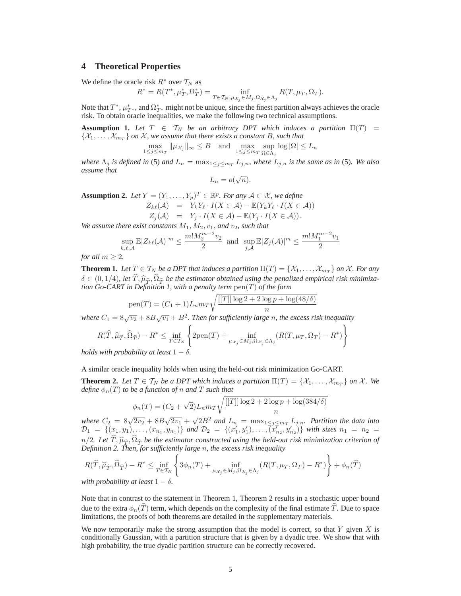# **4 Theoretical Properties**

We define the oracle risk  $R^*$  over  $T_N$  as

$$
R^* = R(T^*, \mu_T^*, \Omega_T^*) = \inf_{T \in \mathcal{T}_N, \mu_{\mathcal{X}_j} \in M_j, \Omega_{\mathcal{X}_j} \in \Lambda_j} R(T, \mu_T, \Omega_T).
$$

Note that  $T^*$ ,  $\mu^*_{T^*}$ , and  $\Omega^*_{T^*}$  might not be unique, since the finest partition always achieves the oracle risk. To obtain oracle inequalities, we make the following two technical assumptions.

**Assumption 1.** Let  $T \in \mathcal{T}_N$  be an arbitrary DPT which induces a partition  $\Pi(T)$  =  $\{\mathcal{X}_1,\ldots,\mathcal{X}_{m_T}\}$  *on*  $\mathcal{X}$ *, we assume that there exists a constant* B*, such that* 

$$
\max_{1\leq j\leq m_T}\|\mu_{\mathcal{X}_j}\|_\infty\leq B\quad\text{and}\quad\max_{1\leq j\leq m_T}\sup_{\Omega\in\Lambda_j}\log|\Omega|\leq L_n
$$

where  $\Lambda_j$  *is defined in* (5) *and*  $L_n = \max_{1 \leq j \leq m_T} L_{j,n}$ *, where*  $L_{j,n}$  *is the same as in* (5)*. We also* assume that *assume that*

$$
L_n = o(\sqrt{n}).
$$

**Assumption 2.** *Let*  $Y = (Y_1, ..., Y_p)^T \in \mathbb{R}^p$ *. For any*  $\mathcal{A} \subset \mathcal{X}$ *, we define*<br>  $Z_{k\ell}(\mathcal{A}) = Y_k Y_\ell \cdot I(X \in \mathcal{A}) - \mathbb{E}(Y_k Y_\ell \cdot I(X \in \mathcal{A}))$ 

$$
Z_j(\mathcal{A}) = Y_j \cdot I(X \in \mathcal{A}) - \mathbb{E}(Y_j \cdot I(X \in \mathcal{A})).
$$

*We assume there exist constants*  $M_1$ ,  $M_2$ ,  $v_1$ , *and*  $v_2$ , *such that* 

$$
\sup_{k,\ell,\mathcal{A}} \mathbb{E}|Z_{k\ell}(\mathcal{A})|^m \le \frac{m!M_2^{m-2}v_2}{2} \text{ and } \sup_{j,\mathcal{A}} \mathbb{E}|Z_j(\mathcal{A})|^m \le \frac{m!M_1^{m-2}v_1}{2}
$$

*for all*  $m \geq 2$ *.* 

**Theorem 1.** Let  $T \in \mathcal{T}_N$  be a DPT that induces a partition  $\Pi(T) = \{X_1, \ldots, X_{m_T}\}$  on X. For any  $\delta \in (0, 1/4)$ , let  $\widehat{T}, \widehat{\mu}_{\widehat{T}}, \widehat{\Omega}_{\widehat{T}}$  be the estimator obtained using the penalized empirical risk minimiza*tion Go-CART in Definition 1, with a penalty term* pen(T) *of the form*

pen(T) = 
$$
(C_1 + 1)L_n m_T \sqrt{\frac{[[T]] \log 2 + 2 \log p + \log(48/\delta)}{n}}
$$

*where*  $C_1 = 8\sqrt{v_2} + 8B\sqrt{v_1} + B^2$ . Then for sufficiently large n, the excess risk inequality

$$
R(\widehat{T}, \widehat{\mu}_{\widehat{T}}, \widehat{\Omega}_{\widehat{T}}) - R^* \le \inf_{T \in \mathcal{T}_N} \left\{ 2\text{pen}(T) + \inf_{\mu_{\mathcal{X}_j} \in M_j, \Omega_{\mathcal{X}_j} \in \Lambda_j} (R(T, \mu_T, \Omega_T) - R^*) \right\}
$$

*holds with probability at least*  $1 - \delta$ .

A similar oracle inequality holds when using the held-out risk minimization Go-CART.

**Theorem 2.** Let  $T \in \mathcal{T}_N$  be a DPT which induces a partition  $\Pi(T) = \{\mathcal{X}_1, \dots, \mathcal{X}_{m_T}\}$  on  $\mathcal{X}$ . We *define*  $\phi_n(T)$  *to be a function of n and T such that* 

$$
\phi_n(T) = (C_2 + \sqrt{2})L_n m_T \sqrt{\frac{[[T]] \log 2 + 2 \log p + \log(384/\delta)}{n}}
$$

*where*  $C_2 = 8\sqrt{2v_2} + 8B\sqrt{2v_1} + \sqrt{2}B^2$  *and*  $L_n = \max_{1 \le j \le m} L_{j,n}$ *. Partition the data into*<br> $D_n = \{(x, y_1) \}$  and  $D_n = \{(x', y') \}$   $\{y''\}$  with sizes  $p_n = p_n$  $\mathcal{D}_1 = \{ (x_1, y_1), \ldots, (x_{n_1}, y_{n_1}) \}$  *and*  $\mathcal{D}_2 = \{ (x_1', y_1'), \ldots, (x_{n_2}', y_{n_2}) \}$  *with sizes*  $n_1 = n_2 =$  $n/2$ . Let  $\widehat{T}$ ,  $\widehat{\mu}_{\widehat{T}}, \widehat{\Omega}_{\widehat{T}}$  be the estimator constructed using the held-out risk minimization criterion of *Definition 2. Then, for sufficiently large* n*, the excess risk inequality*

$$
R(\widehat{T}, \widehat{\mu}_{\widehat{T}}, \widehat{\Omega}_{\widehat{T}}) - R^* \le \inf_{T \in \mathcal{T}_N} \left\{ 3\phi_n(T) + \inf_{\mu_{\mathcal{X}_j} \in M_j, \Omega_{\mathcal{X}_j} \in \Lambda_j} (R(T, \mu_T, \Omega_T) - R^*) \right\} + \phi_n(\widehat{T})
$$
  
with probability at least  $1 - \delta$ .

Note that in contrast to the statement in Theorem 1, Theorem 2 results in a stochastic upper bound due to the extra  $\phi_n(\hat{T})$  term, which depends on the complexity of the final estimate  $\hat{T}$ . Due to space limitations, the proofs of both theorems are detailed in the supplementary materials.

We now temporarily make the strong assumption that the model is correct, so that  $Y$  given  $X$  is conditionally Gaussian, with a partition structure that is given by a dyadic tree. We show that with high probability, the true dyadic partition structure can be correctly recovered.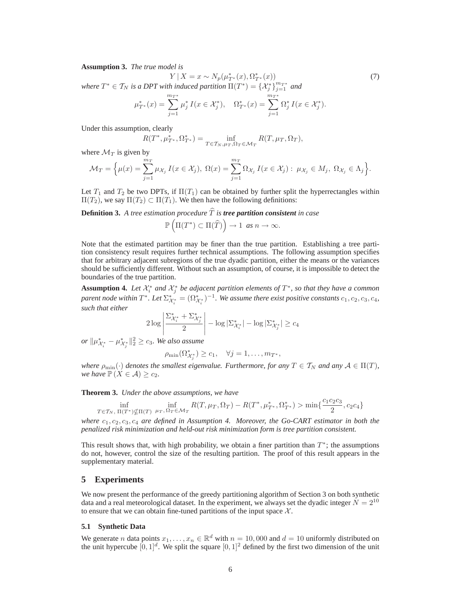**Assumption 3.** *The true model is*

$$
Y \mid X = x \sim N_p(\mu_{T^*}^*(x), \Omega_{T^*}^*(x)) \tag{7}
$$

*where*  $T^* \in \mathcal{T}_N$  *is a DPT with induced partition*  $\Pi(T^*) = {\chi_{j} \choose j}_{j=1}^{m_{T^*}}$  *and*  $\lim_{m_{T^*}} T^*$ 

$$
\mu_{T^*}^*(x) = \sum_{j=1}^{m_{T^*}} \mu_j^* I(x \in \mathcal{X}_j^*), \quad \Omega_{T^*}^*(x) = \sum_{j=1}^{m_{T^*}} \Omega_j^* I(x \in \mathcal{X}_j^*).
$$

Under this assumption, clearly

$$
R(T^*, \mu_{T^*}^*, \Omega_{T^*}^*) = \inf_{T \in \mathcal{T}_N, \mu_T, \Omega_T \in \mathcal{M}_T} R(T, \mu_T, \Omega_T),
$$

where  $\mathcal{M}_T$  is given by

$$
\mathcal{M}_T = \Big\{ \mu(x) = \sum_{j=1}^{m_T} \mu_{\mathcal{X}_j} I(x \in \mathcal{X}_j), \ \Omega(x) = \sum_{j=1}^{m_T} \Omega_{\mathcal{X}_j} I(x \in \mathcal{X}_j) : \ \mu_{\mathcal{X}_j} \in M_j, \ \Omega_{\mathcal{X}_j} \in \Lambda_j \Big\}.
$$

Let  $T_1$  and  $T_2$  be two DPTs, if  $\Pi(T_1)$  can be obtained by further split the hyperrectangles within  $\Pi(T_2)$ , we say  $\Pi(T_2) \subset \Pi(T_1)$ . We then have the following definitions:

**Definition 3.** A tree estimation procedure  $\widehat{T}$  is **tree partition consistent** in case  $\mathbb{P}\left(\Pi(T^*)\subset\Pi(\widehat{T})\right)\to 1 \text{ as } n\to\infty.$ 

Note that the estimated partition may be finer than the true partition. Establishing a tree partition consistency result requires further technical assumptions. The following assumption specifies that for arbitrary adjacent subregions of the true dyadic partition, either the means or the variances should be sufficiently different. Without such an assumption, of course, it is impossible to detect the boundaries of the true partition.

**Assumption 4.** Let  $\mathcal{X}_i^*$  and  $\mathcal{X}_i^*$  be adjacent partition elements of  $T^*$ , so that they have a common *parent node within*  $T^*$ *. Let*  $\sum_{\mathcal{X}_i^*}^* = (\Omega_{\mathcal{X}_i^*}^*)^{-1}$ *. We assume there exist positive constants*  $c_1, c_2, c_3, c_4$ *, such that either*

$$
2\log\left|\frac{\Sigma_{\mathcal{X}_{i}^{*}}^{*} + \Sigma_{\mathcal{X}_{j}^{*}}^{*}}{2}\right| - \log|\Sigma_{\mathcal{X}_{i}^{*}}^{*}| - \log|\Sigma_{\mathcal{X}_{j}^{*}}^{*}| \geq c_{4}
$$

 $or \| \mu_{\mathcal{X}_{i}^{*}}^{*} - \mu_{\mathcal{X}_{j}^{*}}^{*} \|_{2}^{2} \geq c_{3}.$  *We also assume* 

$$
\rho_{\min}(\Omega^*_{\mathcal{X}_j^*}) \geq c_1, \quad \forall j=1,\ldots,m_{T^*},
$$

*where*  $\rho_{\min}(\cdot)$  *denotes the smallest eigenvalue. Furthermore, for any*  $T \in \mathcal{T}_N$  *and any*  $\mathcal{A} \in \Pi(T)$ *,*  $\mu$  *we have*  $\mathbb{P}(X \subseteq \Lambda) \geq \rho$ . *we have*  $\mathbb{P}(X \in \mathcal{A}) \geq c_2$ *.* 

**Theorem 3.** *Under the above assumptions, we have*

$$
\inf_{T \in \mathcal{T}_N, \ \Pi(T^*) \nsubseteq \Pi(T)} \inf_{\mu_T, \ \Omega_T \in \mathcal{M}_T} R(T, \mu_T, \Omega_T) - R(T^*, \mu_{T^*}^*, \Omega_{T^*}^*) > \min\{\frac{c_1 c_2 c_3}{2}, c_2 c_4\}
$$

*where*  $c_1, c_2, c_3, c_4$  *are defined in Assumption 4. Moreover, the Go-CART estimator in both the*<br>penalized risk minimization and held out risk minimization form is tree partition consistent *penalized risk minimization and held-out risk minimization form is tree partition consistent.*

This result shows that, with high probability, we obtain a finer partition than  $T^*$ ; the assumptions do not, however, control the size of the resulting partition. The proof of this result appears in the supplementary material.

# **5 Experiments**

We now present the performance of the greedy partitioning algorithm of Section 3 on both synthetic data and a real meteorological dataset. In the experiment, we always set the dyadic integer  $N = 2^{10}$ to ensure that we can obtain fine-tuned partitions of the input space  $X$ .

#### **5.1 Synthetic Data**

We generate *n* data points  $x_1, \ldots, x_n \in \mathbb{R}^d$  with  $n = 10,000$  and  $d = 10$  uniformly distributed on the unit hypercube  $[0, 1]^d$ . We split the square  $[0, 1]^2$  defined by the first two dimension of the unit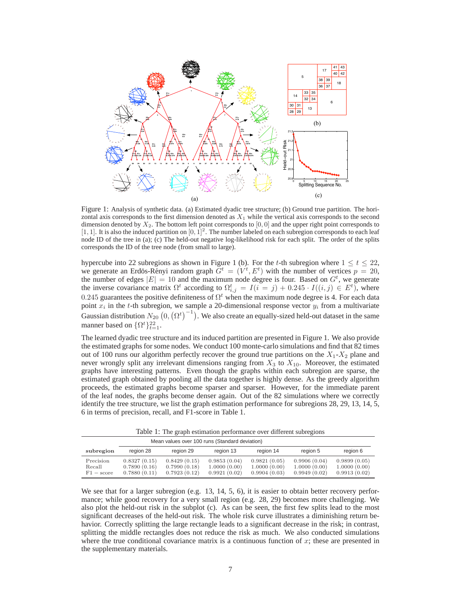

Figure 1: Analysis of synthetic data. (a) Estimated dyadic tree structure; (b) Ground true partition. The horizontal axis corresponds to the first dimension denoted as *X*<sup>1</sup> while the vertical axis corresponds to the second dimension denoted by *X*2. The bottom left point corresponds to [0*,* 0] and the upper right point corresponds to  $[1, 1]$ . It is also the induced partition on  $[0, 1]^2$ . The number labeled on each subregion corresponds to each leaf node ID of the tree in (a); (c) The held-out negative log-likelihood risk for each split. The order of the splits corresponds the ID of the tree node (from small to large).

hypercube into 22 subregions as shown in Figure 1 (b). For the t-th subregion where  $1 \le t \le 22$ , we generate an Erdös-Rényi random graph  $G^t = (V^t, E^t)$  with the number of vertices  $p = 20$ , the number of edges  $|E| = 10$  and the maximum node degree is four. Based on  $G^t$ , we generate the inverse covariance matrix  $\Omega^t$  according to  $\Omega_{i,j}^t = I(i = j) + 0.245 \cdot I((i,j) \in E^t)$ , where 0.245 guarantees the positive definiteness of  $\Omega^t$  when the maximum node degree is 4. For each data point  $x_i$  in the t-th subregion, we sample a 20-dimensional response vector  $y_i$  from a multivariate Gaussian distribution  $N_{20}$   $(0, (\Omega^t)^{-1})$ . We also create an equally-sized held-out dataset in the same manner based on  $\{\Omega^t\}_{t=1}^{22}$ .

The learned dyadic tree structure and its induced partition are presented in Figure 1. We also provide the estimated graphs for some nodes. We conduct 100 monte-carlo simulations and find that 82 times out of 100 runs our algorithm perfectly recover the ground true partitions on the  $X_1$ - $X_2$  plane and never wrongly split any irrelevant dimensions ranging from  $X_3$  to  $X_{10}$ . Moreover, the estimated graphs have interesting patterns. Even though the graphs within each subregion are sparse, the estimated graph obtained by pooling all the data together is highly dense. As the greedy algorithm proceeds, the estimated graphs become sparser and sparser. However, for the immediate parent of the leaf nodes, the graphs become denser again. Out of the 82 simulations where we correctly identify the tree structure, we list the graph estimation performance for subregions 28, 29, 13, 14, 5, 6 in terms of precision, recall, and F1-score in Table 1.

Table 1: The graph estimation performance over different subregions

| Mean values over 100 runs (Standard deviation) |                                              |                                              |                                              |                                              |                                              |                                              |
|------------------------------------------------|----------------------------------------------|----------------------------------------------|----------------------------------------------|----------------------------------------------|----------------------------------------------|----------------------------------------------|
| subregion                                      | region 28                                    | region 29                                    | region 13                                    | region 14                                    | region 5                                     | region 6                                     |
| Precision<br>Recall<br>$F1 - score$            | 0.8327(0.15)<br>0.7890(0.16)<br>0.7880(0.11) | 0.8429(0.15)<br>0.7990(0.18)<br>0.7923(0.12) | 0.9853(0.04)<br>1.0000(0.00)<br>0.9921(0.02) | 0.9821(0.05)<br>1.0000(0.00)<br>0.9904(0.03) | 0.9906(0.04)<br>1.0000(0.00)<br>0.9949(0.02) | 0.9899(0.05)<br>1.0000(0.00)<br>0.9913(0.02) |

We see that for a larger subregion (e.g. 13, 14, 5, 6), it is easier to obtain better recovery performance; while good recovery for a very small region (e.g. 28, 29) becomes more challenging. We also plot the held-out risk in the subplot (c). As can be seen, the first few splits lead to the most significant decreases of the held-out risk. The whole risk curve illustrates a diminishing return behavior. Correctly splitting the large rectangle leads to a significant decrease in the risk; in contrast, splitting the middle rectangles does not reduce the risk as much. We also conducted simulations where the true conditional covariance matrix is a continuous function of  $x$ ; these are presented in the supplementary materials.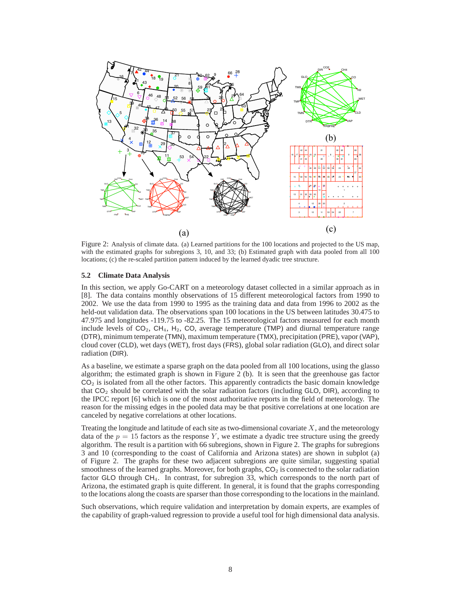

Figure 2: Analysis of climate data. (a) Learned partitions for the 100 locations and projected to the US map, with the estimated graphs for subregions 3, 10, and 33; (b) Estimated graph with data pooled from all 100 locations; (c) the re-scaled partition pattern induced by the learned dyadic tree structure.

#### **5.2 Climate Data Analysis**

In this section, we apply Go-CART on a meteorology dataset collected in a similar approach as in [8]. The data contains monthly observations of 15 different meteorological factors from 1990 to 2002. We use the data from 1990 to 1995 as the training data and data from 1996 to 2002 as the held-out validation data. The observations span 100 locations in the US between latitudes 30.475 to 47.975 and longitudes -119.75 to -82.25. The 15 meteorological factors measured for each month include levels of  $CO<sub>2</sub>$ ,  $CH<sub>4</sub>$ ,  $H<sub>2</sub>$ ,  $CO<sub>3</sub>$  average temperature (TMP) and diurnal temperature range (DTR), minimum temperate (TMN), maximum temperature (TMX), precipitation (PRE), vapor (VAP), cloud cover (CLD), wet days (WET), frost days (FRS), global solar radiation (GLO), and direct solar radiation (DIR).

As a baseline, we estimate a sparse graph on the data pooled from all 100 locations, using the glasso algorithm; the estimated graph is shown in Figure 2 (b). It is seen that the greenhouse gas factor  $CO<sub>2</sub>$  is isolated from all the other factors. This apparently contradicts the basic domain knowledge that  $CO<sub>2</sub>$  should be correlated with the solar radiation factors (including GLO, DIR), according to the IPCC report [6] which is one of the most authoritative reports in the field of meteorology. The reason for the missing edges in the pooled data may be that positive correlations at one location are canceled by negative correlations at other locations.

Treating the longitude and latitude of each site as two-dimensional covariate  $X$ , and the meteorology data of the  $p = 15$  factors as the response Y, we estimate a dyadic tree structure using the greedy algorithm. The result is a partition with 66 subregions, shown in Figure 2. The graphs for subregions 3 and 10 (corresponding to the coast of California and Arizona states) are shown in subplot (a) of Figure 2. The graphs for these two adjacent subregions are quite similar, suggesting spatial smoothness of the learned graphs. Moreover, for both graphs,  $CO<sub>2</sub>$  is connected to the solar radiation factor GLO through CH<sub>4</sub>. In contrast, for subregion 33, which corresponds to the north part of Arizona, the estimated graph is quite different. In general, it is found that the graphs corresponding to the locations along the coasts are sparser than those corresponding to the locations in the mainland.

Such observations, which require validation and interpretation by domain experts, are examples of the capability of graph-valued regression to provide a useful tool for high dimensional data analysis.